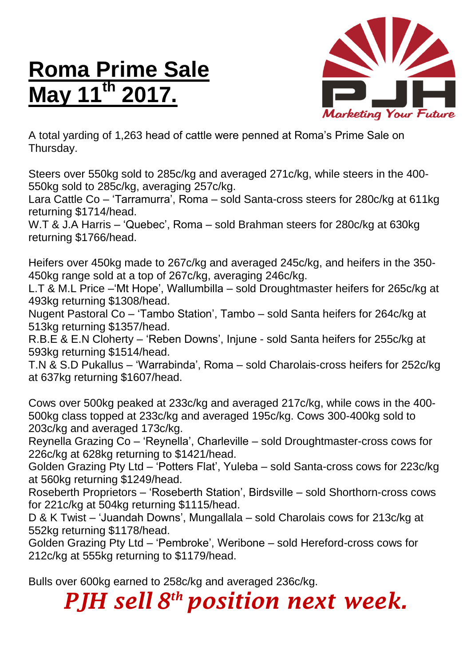## **Roma Prime Sale May 11th 2017.**



A total yarding of 1,263 head of cattle were penned at Roma's Prime Sale on Thursday.

Steers over 550kg sold to 285c/kg and averaged 271c/kg, while steers in the 400- 550kg sold to 285c/kg, averaging 257c/kg.

Lara Cattle Co – 'Tarramurra', Roma – sold Santa-cross steers for 280c/kg at 611kg returning \$1714/head.

W.T & J.A Harris – 'Quebec', Roma – sold Brahman steers for 280c/kg at 630kg returning \$1766/head.

Heifers over 450kg made to 267c/kg and averaged 245c/kg, and heifers in the 350- 450kg range sold at a top of 267c/kg, averaging 246c/kg.

L.T & M.L Price –'Mt Hope', Wallumbilla – sold Droughtmaster heifers for 265c/kg at 493kg returning \$1308/head.

Nugent Pastoral Co – 'Tambo Station', Tambo – sold Santa heifers for 264c/kg at 513kg returning \$1357/head.

R.B.E & E.N Cloherty – 'Reben Downs', Injune - sold Santa heifers for 255c/kg at 593kg returning \$1514/head.

T.N & S.D Pukallus – 'Warrabinda', Roma – sold Charolais-cross heifers for 252c/kg at 637kg returning \$1607/head.

Cows over 500kg peaked at 233c/kg and averaged 217c/kg, while cows in the 400- 500kg class topped at 233c/kg and averaged 195c/kg. Cows 300-400kg sold to 203c/kg and averaged 173c/kg.

Reynella Grazing Co – 'Reynella', Charleville – sold Droughtmaster-cross cows for 226c/kg at 628kg returning to \$1421/head.

Golden Grazing Pty Ltd – 'Potters Flat', Yuleba – sold Santa-cross cows for 223c/kg at 560kg returning \$1249/head.

Roseberth Proprietors – 'Roseberth Station', Birdsville – sold Shorthorn-cross cows for 221c/kg at 504kg returning \$1115/head.

D & K Twist – 'Juandah Downs', Mungallala – sold Charolais cows for 213c/kg at 552kg returning \$1178/head.

Golden Grazing Pty Ltd – 'Pembroke', Weribone – sold Hereford-cross cows for 212c/kg at 555kg returning to \$1179/head.

Bulls over 600kg earned to 258c/kg and averaged 236c/kg.

*PJH sell 8 th position next week.*